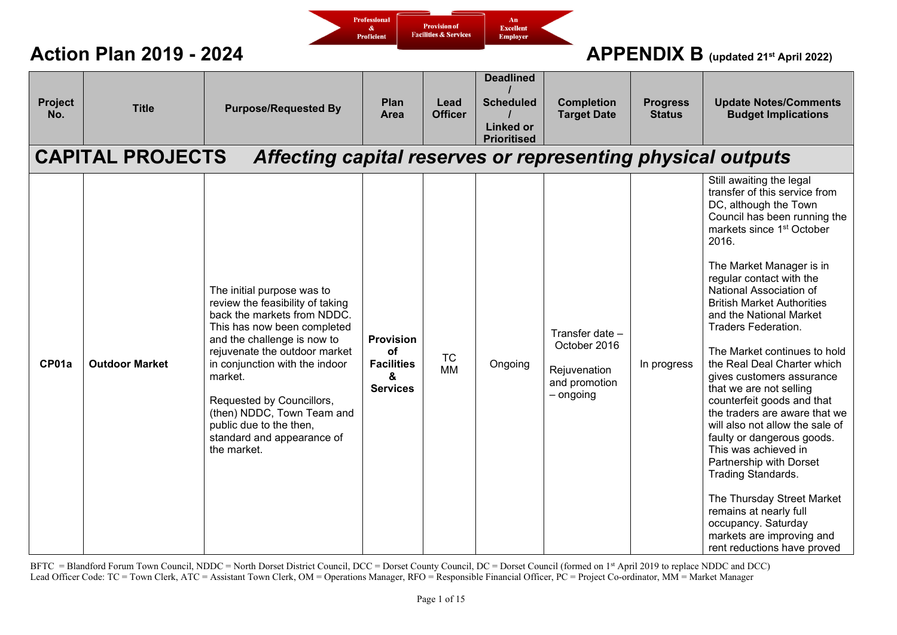

| Project<br>No. | <b>Title</b><br><b>CAPITAL PROJECTS</b> | <b>Purpose/Requested By</b><br>Affecting capital reserves or representing physical outputs                                                                                                                                                                                                                                                                                   | Plan<br>Area                                                        | Lead<br><b>Officer</b> | <b>Deadlined</b><br><b>Scheduled</b><br><b>Linked or</b><br><b>Prioritised</b> | <b>Completion</b><br><b>Target Date</b>                                         | <b>Progress</b><br><b>Status</b> | <b>Update Notes/Comments</b><br><b>Budget Implications</b>                                                                                                                                                                                                                                                                                                                                                                                                                                                                                                                                                                                                                                                                                                                                                                       |
|----------------|-----------------------------------------|------------------------------------------------------------------------------------------------------------------------------------------------------------------------------------------------------------------------------------------------------------------------------------------------------------------------------------------------------------------------------|---------------------------------------------------------------------|------------------------|--------------------------------------------------------------------------------|---------------------------------------------------------------------------------|----------------------------------|----------------------------------------------------------------------------------------------------------------------------------------------------------------------------------------------------------------------------------------------------------------------------------------------------------------------------------------------------------------------------------------------------------------------------------------------------------------------------------------------------------------------------------------------------------------------------------------------------------------------------------------------------------------------------------------------------------------------------------------------------------------------------------------------------------------------------------|
| CP01a          | <b>Outdoor Market</b>                   | The initial purpose was to<br>review the feasibility of taking<br>back the markets from NDDC.<br>This has now been completed<br>and the challenge is now to<br>rejuvenate the outdoor market<br>in conjunction with the indoor<br>market.<br>Requested by Councillors,<br>(then) NDDC, Town Team and<br>public due to the then,<br>standard and appearance of<br>the market. | <b>Provision</b><br>οf<br><b>Facilities</b><br>&<br><b>Services</b> | <b>TC</b><br><b>MM</b> | Ongoing                                                                        | Transfer date -<br>October 2016<br>Rejuvenation<br>and promotion<br>$-$ ongoing | In progress                      | Still awaiting the legal<br>transfer of this service from<br>DC, although the Town<br>Council has been running the<br>markets since 1 <sup>st</sup> October<br>2016.<br>The Market Manager is in<br>regular contact with the<br>National Association of<br><b>British Market Authorities</b><br>and the National Market<br><b>Traders Federation.</b><br>The Market continues to hold<br>the Real Deal Charter which<br>gives customers assurance<br>that we are not selling<br>counterfeit goods and that<br>the traders are aware that we<br>will also not allow the sale of<br>faulty or dangerous goods.<br>This was achieved in<br>Partnership with Dorset<br>Trading Standards.<br>The Thursday Street Market<br>remains at nearly full<br>occupancy. Saturday<br>markets are improving and<br>rent reductions have proved |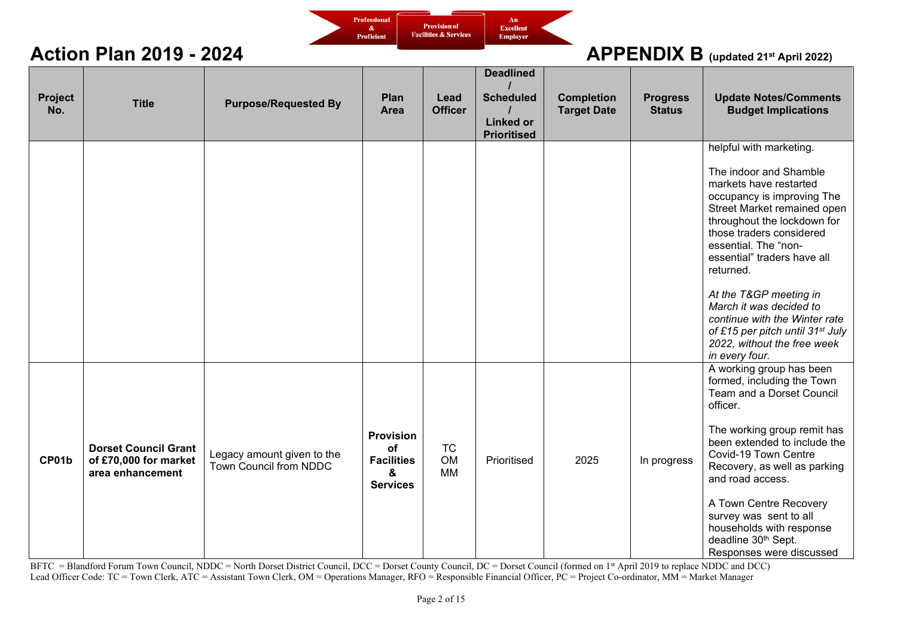

| Project<br>No. | <b>Title</b>                                                             | <b>Purpose/Requested By</b>                          | Plan<br><b>Area</b>                                                 | Lead<br><b>Officer</b>              | <b>Deadlined</b><br><b>Scheduled</b><br><b>Linked or</b><br><b>Prioritised</b> | <b>Completion</b><br><b>Target Date</b> | <b>Progress</b><br><b>Status</b> | <b>Update Notes/Comments</b><br><b>Budget Implications</b>                                                                                                                                                                                                                                                                                                                                                                                                     |
|----------------|--------------------------------------------------------------------------|------------------------------------------------------|---------------------------------------------------------------------|-------------------------------------|--------------------------------------------------------------------------------|-----------------------------------------|----------------------------------|----------------------------------------------------------------------------------------------------------------------------------------------------------------------------------------------------------------------------------------------------------------------------------------------------------------------------------------------------------------------------------------------------------------------------------------------------------------|
|                |                                                                          |                                                      |                                                                     |                                     |                                                                                |                                         |                                  | helpful with marketing.<br>The indoor and Shamble<br>markets have restarted<br>occupancy is improving The<br>Street Market remained open<br>throughout the lockdown for<br>those traders considered<br>essential. The "non-<br>essential" traders have all<br>returned.<br>At the T&GP meeting in<br>March it was decided to<br>continue with the Winter rate<br>of £15 per pitch until 31 <sup>st</sup> July<br>2022, without the free week<br>in every four. |
| CP01b          | <b>Dorset Council Grant</b><br>of £70,000 for market<br>area enhancement | Legacy amount given to the<br>Town Council from NDDC | <b>Provision</b><br>of<br><b>Facilities</b><br>&<br><b>Services</b> | <b>TC</b><br><b>OM</b><br><b>MM</b> | Prioritised                                                                    | 2025                                    | In progress                      | A working group has been<br>formed, including the Town<br>Team and a Dorset Council<br>officer.<br>The working group remit has<br>been extended to include the<br>Covid-19 Town Centre<br>Recovery, as well as parking<br>and road access.<br>A Town Centre Recovery<br>survey was sent to all<br>households with response<br>deadline 30th Sept.<br>Responses were discussed                                                                                  |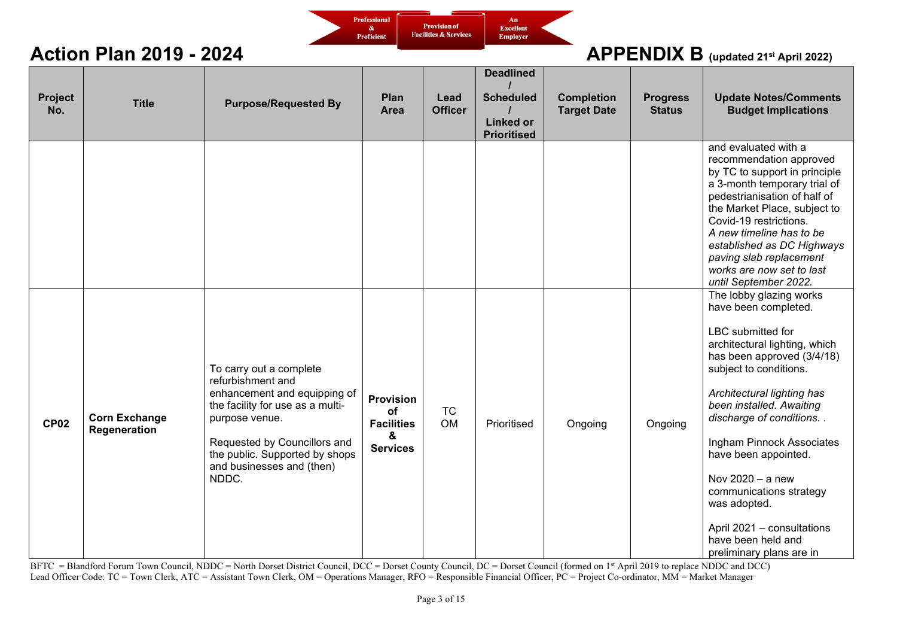

| Project<br>No. | <b>Title</b>                         | <b>Purpose/Requested By</b>                                                                                                                                                                                                                | Plan<br><b>Area</b>                                                 | Lead<br><b>Officer</b> | <b>Deadlined</b><br><b>Scheduled</b><br><b>Linked or</b><br><b>Prioritised</b> | <b>Completion</b><br><b>Target Date</b> | <b>Progress</b><br><b>Status</b> | <b>Update Notes/Comments</b><br><b>Budget Implications</b>                                                                                                                                                                                                                                                                                                                                                                                                |
|----------------|--------------------------------------|--------------------------------------------------------------------------------------------------------------------------------------------------------------------------------------------------------------------------------------------|---------------------------------------------------------------------|------------------------|--------------------------------------------------------------------------------|-----------------------------------------|----------------------------------|-----------------------------------------------------------------------------------------------------------------------------------------------------------------------------------------------------------------------------------------------------------------------------------------------------------------------------------------------------------------------------------------------------------------------------------------------------------|
|                |                                      |                                                                                                                                                                                                                                            |                                                                     |                        |                                                                                |                                         |                                  | and evaluated with a<br>recommendation approved<br>by TC to support in principle<br>a 3-month temporary trial of<br>pedestrianisation of half of<br>the Market Place, subject to<br>Covid-19 restrictions.<br>A new timeline has to be<br>established as DC Highways<br>paving slab replacement<br>works are now set to last<br>until September 2022.                                                                                                     |
| <b>CP02</b>    | <b>Corn Exchange</b><br>Regeneration | To carry out a complete<br>refurbishment and<br>enhancement and equipping of<br>the facility for use as a multi-<br>purpose venue.<br>Requested by Councillors and<br>the public. Supported by shops<br>and businesses and (then)<br>NDDC. | <b>Provision</b><br>of<br><b>Facilities</b><br>&<br><b>Services</b> | <b>TC</b><br><b>OM</b> | Prioritised                                                                    | Ongoing                                 | Ongoing                          | The lobby glazing works<br>have been completed.<br>LBC submitted for<br>architectural lighting, which<br>has been approved (3/4/18)<br>subject to conditions.<br>Architectural lighting has<br>been installed. Awaiting<br>discharge of conditions. .<br>Ingham Pinnock Associates<br>have been appointed.<br>Nov 2020 - a new<br>communications strategy<br>was adopted.<br>April 2021 - consultations<br>have been held and<br>preliminary plans are in |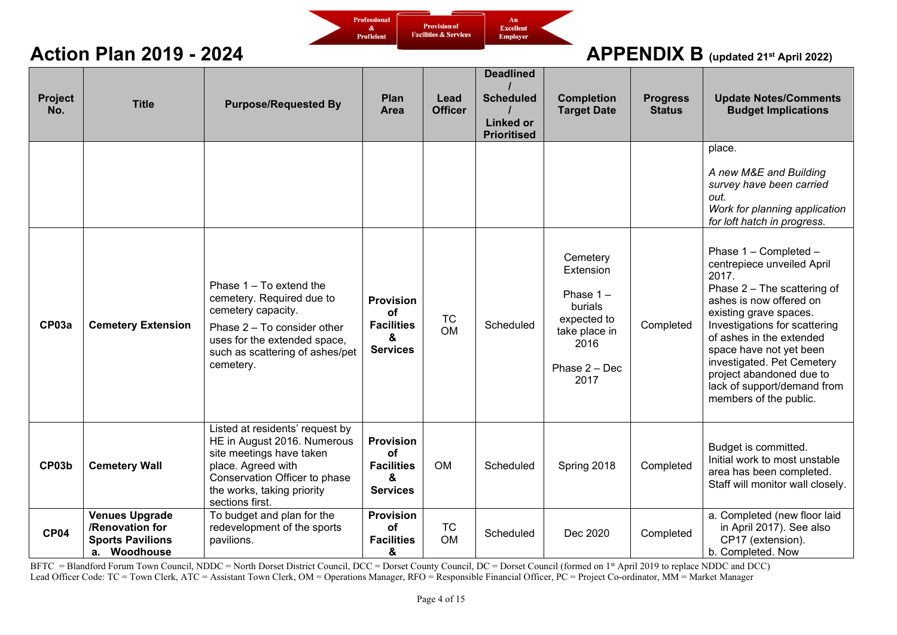

| <b>Project</b><br>No. | <b>Title</b>                                                                        | <b>Purpose/Requested By</b>                                                                                                                                                                        | Plan<br><b>Area</b>                                                        | Lead<br><b>Officer</b> | <b>Deadlined</b><br><b>Scheduled</b><br><b>Linked or</b><br><b>Prioritised</b> | <b>Completion</b><br><b>Target Date</b>                                                                            | <b>Progress</b><br><b>Status</b> | <b>Update Notes/Comments</b><br><b>Budget Implications</b>                                                                                                                                                                                                                                                                                                  |
|-----------------------|-------------------------------------------------------------------------------------|----------------------------------------------------------------------------------------------------------------------------------------------------------------------------------------------------|----------------------------------------------------------------------------|------------------------|--------------------------------------------------------------------------------|--------------------------------------------------------------------------------------------------------------------|----------------------------------|-------------------------------------------------------------------------------------------------------------------------------------------------------------------------------------------------------------------------------------------------------------------------------------------------------------------------------------------------------------|
|                       |                                                                                     |                                                                                                                                                                                                    |                                                                            |                        |                                                                                |                                                                                                                    |                                  | place.<br>A new M&E and Building<br>survey have been carried<br>out.<br>Work for planning application<br>for loft hatch in progress.                                                                                                                                                                                                                        |
| CP03a                 | <b>Cemetery Extension</b>                                                           | Phase $1 - To$ extend the<br>cemetery. Required due to<br>cemetery capacity.<br>Phase 2 - To consider other<br>uses for the extended space,<br>such as scattering of ashes/pet<br>cemetery.        | <b>Provision</b><br>οf<br><b>Facilities</b><br>&<br><b>Services</b>        | <b>TC</b><br><b>OM</b> | Scheduled                                                                      | Cemetery<br>Extension<br>Phase $1 -$<br>burials<br>expected to<br>take place in<br>2016<br>Phase $2 - Dec$<br>2017 | Completed                        | Phase 1 - Completed -<br>centrepiece unveiled April<br>2017.<br>Phase 2 - The scattering of<br>ashes is now offered on<br>existing grave spaces.<br>Investigations for scattering<br>of ashes in the extended<br>space have not yet been<br>investigated. Pet Cemetery<br>project abandoned due to<br>lack of support/demand from<br>members of the public. |
| CP03b                 | <b>Cemetery Wall</b>                                                                | Listed at residents' request by<br>HE in August 2016. Numerous<br>site meetings have taken<br>place. Agreed with<br>Conservation Officer to phase<br>the works, taking priority<br>sections first. | <b>Provision</b><br><b>of</b><br><b>Facilities</b><br>&<br><b>Services</b> | <b>OM</b>              | Scheduled                                                                      | Spring 2018                                                                                                        | Completed                        | Budget is committed.<br>Initial work to most unstable<br>area has been completed.<br>Staff will monitor wall closely.                                                                                                                                                                                                                                       |
| <b>CP04</b>           | <b>Venues Upgrade</b><br>/Renovation for<br><b>Sports Pavilions</b><br>a. Woodhouse | To budget and plan for the<br>redevelopment of the sports<br>pavilions.                                                                                                                            | <b>Provision</b><br>οf<br><b>Facilities</b><br>&                           | <b>TC</b><br><b>OM</b> | Scheduled                                                                      | Dec 2020                                                                                                           | Completed                        | a. Completed (new floor laid<br>in April 2017). See also<br>CP17 (extension).<br>b. Completed. Now                                                                                                                                                                                                                                                          |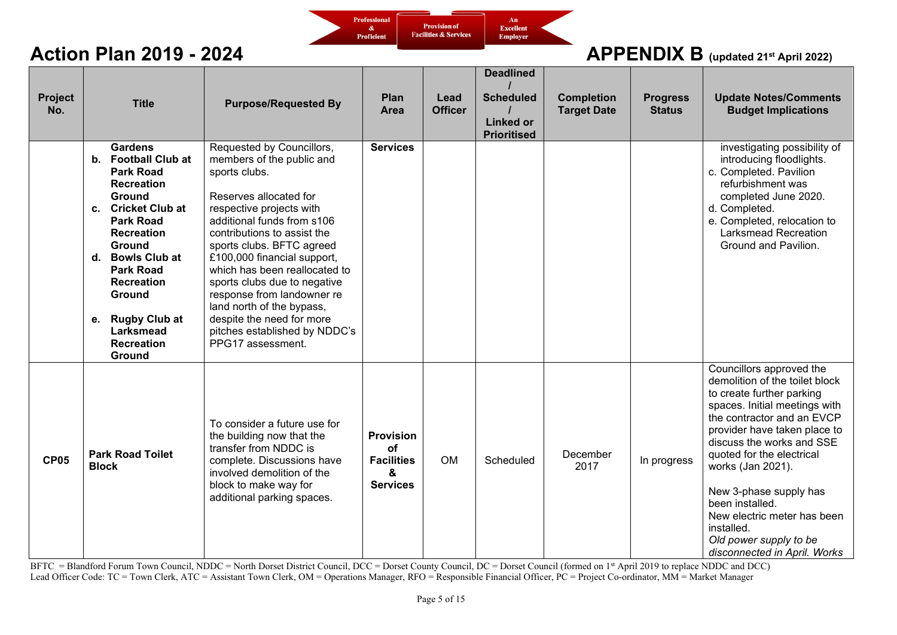

| Project<br>No. | <b>Title</b>                                                                                                                                                                                                                                                                                                                                         | <b>Purpose/Requested By</b>                                                                                                                                                                                                                                                                                                                                                                                                                                           | Plan<br>Area                                                        | Lead<br><b>Officer</b> | <b>Deadlined</b><br><b>Scheduled</b><br><b>Linked or</b><br><b>Prioritised</b> | <b>Completion</b><br><b>Target Date</b> | <b>Progress</b><br><b>Status</b> | <b>Update Notes/Comments</b><br><b>Budget Implications</b>                                                                                                                                                                                                                                                                                                                                                                |
|----------------|------------------------------------------------------------------------------------------------------------------------------------------------------------------------------------------------------------------------------------------------------------------------------------------------------------------------------------------------------|-----------------------------------------------------------------------------------------------------------------------------------------------------------------------------------------------------------------------------------------------------------------------------------------------------------------------------------------------------------------------------------------------------------------------------------------------------------------------|---------------------------------------------------------------------|------------------------|--------------------------------------------------------------------------------|-----------------------------------------|----------------------------------|---------------------------------------------------------------------------------------------------------------------------------------------------------------------------------------------------------------------------------------------------------------------------------------------------------------------------------------------------------------------------------------------------------------------------|
|                | <b>Gardens</b><br>b. Football Club at<br><b>Park Road</b><br><b>Recreation</b><br><b>Ground</b><br><b>Cricket Club at</b><br>C.<br><b>Park Road</b><br><b>Recreation</b><br>Ground<br><b>Bowls Club at</b><br>d.<br><b>Park Road</b><br><b>Recreation</b><br>Ground<br><b>Rugby Club at</b><br>е.<br><b>Larksmead</b><br><b>Recreation</b><br>Ground | Requested by Councillors,<br>members of the public and<br>sports clubs.<br>Reserves allocated for<br>respective projects with<br>additional funds from s106<br>contributions to assist the<br>sports clubs. BFTC agreed<br>£100,000 financial support,<br>which has been reallocated to<br>sports clubs due to negative<br>response from landowner re<br>land north of the bypass,<br>despite the need for more<br>pitches established by NDDC's<br>PPG17 assessment. | <b>Services</b>                                                     |                        |                                                                                |                                         |                                  | investigating possibility of<br>introducing floodlights.<br>c. Completed. Pavilion<br>refurbishment was<br>completed June 2020.<br>d. Completed.<br>e. Completed, relocation to<br><b>Larksmead Recreation</b><br>Ground and Pavilion.                                                                                                                                                                                    |
| <b>CP05</b>    | <b>Park Road Toilet</b><br><b>Block</b>                                                                                                                                                                                                                                                                                                              | To consider a future use for<br>the building now that the<br>transfer from NDDC is<br>complete. Discussions have<br>involved demolition of the<br>block to make way for<br>additional parking spaces.                                                                                                                                                                                                                                                                 | <b>Provision</b><br>of<br><b>Facilities</b><br>&<br><b>Services</b> | <b>OM</b>              | Scheduled                                                                      | December<br>2017                        | In progress                      | Councillors approved the<br>demolition of the toilet block<br>to create further parking<br>spaces. Initial meetings with<br>the contractor and an EVCP<br>provider have taken place to<br>discuss the works and SSE<br>quoted for the electrical<br>works (Jan 2021).<br>New 3-phase supply has<br>been installed.<br>New electric meter has been<br>installed.<br>Old power supply to be<br>disconnected in April. Works |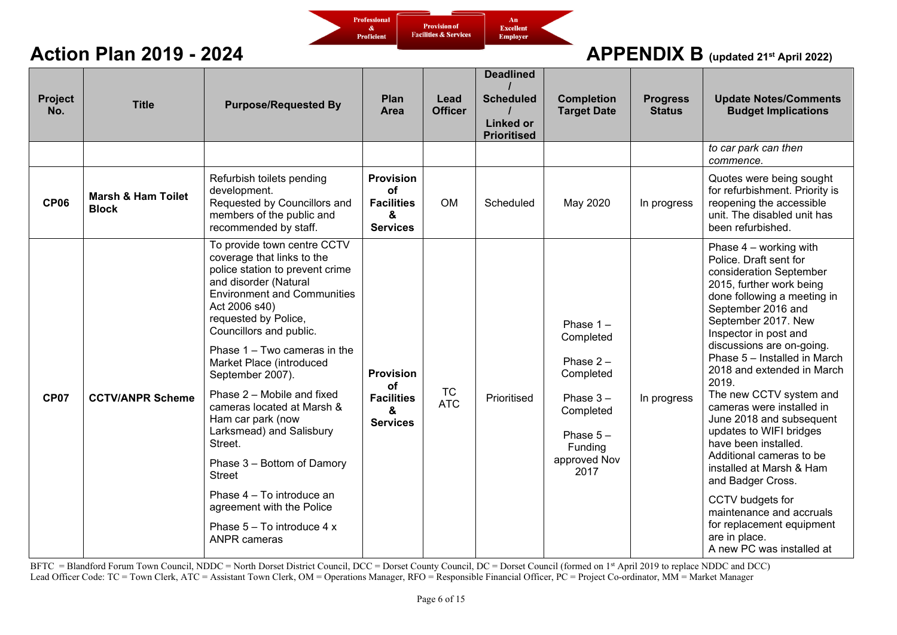

| Project<br>No. | <b>Title</b>                                  | <b>Purpose/Requested By</b>                                                                                                                                                                                                                                                                                                                                                                                                                                                                                                                                                                           | Plan<br>Area                                                        | Lead<br><b>Officer</b>  | <b>Deadlined</b><br><b>Scheduled</b><br><b>Linked or</b><br><b>Prioritised</b> | <b>Completion</b><br><b>Target Date</b>                                                                                            | <b>Progress</b><br><b>Status</b> | <b>Update Notes/Comments</b><br><b>Budget Implications</b>                                                                                                                                                                                                                                                                                                                                                                                                                                                                                                                                                                                                        |
|----------------|-----------------------------------------------|-------------------------------------------------------------------------------------------------------------------------------------------------------------------------------------------------------------------------------------------------------------------------------------------------------------------------------------------------------------------------------------------------------------------------------------------------------------------------------------------------------------------------------------------------------------------------------------------------------|---------------------------------------------------------------------|-------------------------|--------------------------------------------------------------------------------|------------------------------------------------------------------------------------------------------------------------------------|----------------------------------|-------------------------------------------------------------------------------------------------------------------------------------------------------------------------------------------------------------------------------------------------------------------------------------------------------------------------------------------------------------------------------------------------------------------------------------------------------------------------------------------------------------------------------------------------------------------------------------------------------------------------------------------------------------------|
|                |                                               |                                                                                                                                                                                                                                                                                                                                                                                                                                                                                                                                                                                                       |                                                                     |                         |                                                                                |                                                                                                                                    |                                  | to car park can then<br>commence.                                                                                                                                                                                                                                                                                                                                                                                                                                                                                                                                                                                                                                 |
| <b>CP06</b>    | <b>Marsh &amp; Ham Toilet</b><br><b>Block</b> | Refurbish toilets pending<br>development.<br>Requested by Councillors and<br>members of the public and<br>recommended by staff.                                                                                                                                                                                                                                                                                                                                                                                                                                                                       | <b>Provision</b><br>of<br><b>Facilities</b><br>&<br><b>Services</b> | <b>OM</b>               | Scheduled                                                                      | May 2020                                                                                                                           | In progress                      | Quotes were being sought<br>for refurbishment. Priority is<br>reopening the accessible<br>unit. The disabled unit has<br>been refurbished.                                                                                                                                                                                                                                                                                                                                                                                                                                                                                                                        |
| <b>CP07</b>    | <b>CCTV/ANPR Scheme</b>                       | To provide town centre CCTV<br>coverage that links to the<br>police station to prevent crime<br>and disorder (Natural<br><b>Environment and Communities</b><br>Act 2006 s40)<br>requested by Police,<br>Councillors and public.<br>Phase 1 – Two cameras in the<br>Market Place (introduced<br>September 2007).<br>Phase 2 - Mobile and fixed<br>cameras located at Marsh &<br>Ham car park (now<br>Larksmead) and Salisbury<br>Street.<br>Phase 3 - Bottom of Damory<br><b>Street</b><br>Phase 4 - To introduce an<br>agreement with the Police<br>Phase 5 - To introduce 4 x<br><b>ANPR</b> cameras | <b>Provision</b><br>of<br><b>Facilities</b><br>&<br><b>Services</b> | <b>TC</b><br><b>ATC</b> | Prioritised                                                                    | Phase $1 -$<br>Completed<br>Phase $2 -$<br>Completed<br>Phase $3 -$<br>Completed<br>Phase $5 -$<br>Funding<br>approved Nov<br>2017 | In progress                      | Phase $4$ – working with<br>Police. Draft sent for<br>consideration September<br>2015, further work being<br>done following a meeting in<br>September 2016 and<br>September 2017. New<br>Inspector in post and<br>discussions are on-going.<br>Phase 5 - Installed in March<br>2018 and extended in March<br>2019.<br>The new CCTV system and<br>cameras were installed in<br>June 2018 and subsequent<br>updates to WIFI bridges<br>have been installed.<br>Additional cameras to be<br>installed at Marsh & Ham<br>and Badger Cross.<br>CCTV budgets for<br>maintenance and accruals<br>for replacement equipment<br>are in place.<br>A new PC was installed at |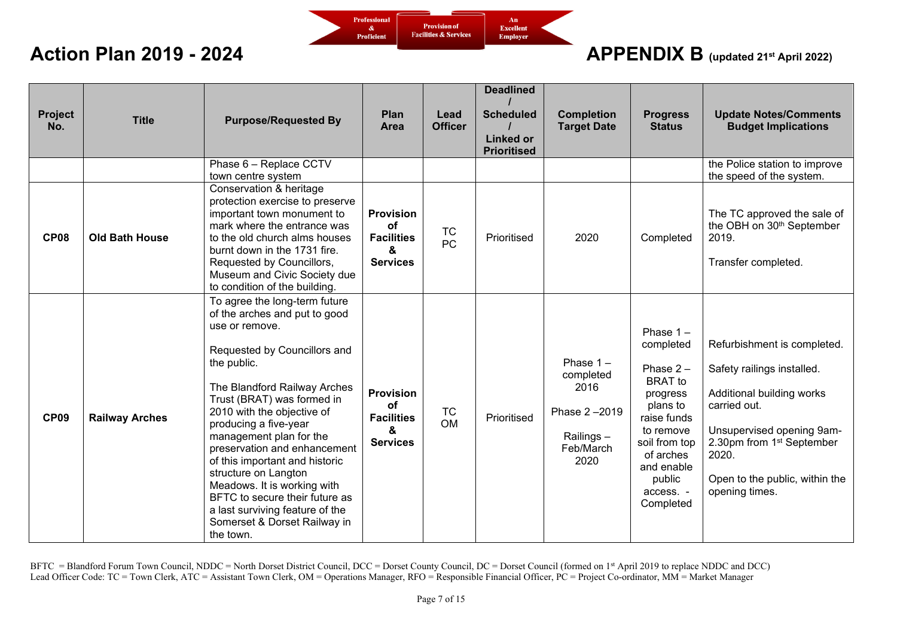

## **Action Plan 2019 - 2024** *COLLEGATE: APPENDIX B* (updated 21st April 2022)

| Project<br>No. | <b>Title</b>          | <b>Purpose/Requested By</b>                                                                                                                                                                                                                                                                                                                                                                                                                                                                                                | Plan<br>Area                                                               | Lead<br><b>Officer</b> | <b>Deadlined</b><br><b>Scheduled</b><br><b>Linked or</b><br><b>Prioritised</b> | <b>Completion</b><br><b>Target Date</b>                                            | <b>Progress</b><br><b>Status</b>                                                                                                                                                              | <b>Update Notes/Comments</b><br><b>Budget Implications</b>                                                                                                                                                                                |
|----------------|-----------------------|----------------------------------------------------------------------------------------------------------------------------------------------------------------------------------------------------------------------------------------------------------------------------------------------------------------------------------------------------------------------------------------------------------------------------------------------------------------------------------------------------------------------------|----------------------------------------------------------------------------|------------------------|--------------------------------------------------------------------------------|------------------------------------------------------------------------------------|-----------------------------------------------------------------------------------------------------------------------------------------------------------------------------------------------|-------------------------------------------------------------------------------------------------------------------------------------------------------------------------------------------------------------------------------------------|
|                |                       | Phase 6 - Replace CCTV<br>town centre system                                                                                                                                                                                                                                                                                                                                                                                                                                                                               |                                                                            |                        |                                                                                |                                                                                    |                                                                                                                                                                                               | the Police station to improve<br>the speed of the system.                                                                                                                                                                                 |
| <b>CP08</b>    | <b>Old Bath House</b> | Conservation & heritage<br>protection exercise to preserve<br>important town monument to<br>mark where the entrance was<br>to the old church alms houses<br>burnt down in the 1731 fire.<br>Requested by Councillors,<br>Museum and Civic Society due<br>to condition of the building.                                                                                                                                                                                                                                     | <b>Provision</b><br><b>of</b><br><b>Facilities</b><br>&<br><b>Services</b> | <b>TC</b><br>PC        | Prioritised                                                                    | 2020                                                                               | Completed                                                                                                                                                                                     | The TC approved the sale of<br>the OBH on 30 <sup>th</sup> September<br>2019.<br>Transfer completed.                                                                                                                                      |
| <b>CP09</b>    | <b>Railway Arches</b> | To agree the long-term future<br>of the arches and put to good<br>use or remove.<br>Requested by Councillors and<br>the public.<br>The Blandford Railway Arches<br>Trust (BRAT) was formed in<br>2010 with the objective of<br>producing a five-year<br>management plan for the<br>preservation and enhancement<br>of this important and historic<br>structure on Langton<br>Meadows. It is working with<br>BFTC to secure their future as<br>a last surviving feature of the<br>Somerset & Dorset Railway in<br>the town. | <b>Provision</b><br>οf<br><b>Facilities</b><br>&<br><b>Services</b>        | <b>TC</b><br><b>OM</b> | Prioritised                                                                    | Phase $1 -$<br>completed<br>2016<br>Phase 2-2019<br>Railings-<br>Feb/March<br>2020 | Phase $1 -$<br>completed<br>Phase $2 -$<br><b>BRAT</b> to<br>progress<br>plans to<br>raise funds<br>to remove<br>soil from top<br>of arches<br>and enable<br>public<br>access. -<br>Completed | Refurbishment is completed.<br>Safety railings installed.<br>Additional building works<br>carried out.<br>Unsupervised opening 9am-<br>2.30pm from 1 <sup>st</sup> September<br>2020.<br>Open to the public, within the<br>opening times. |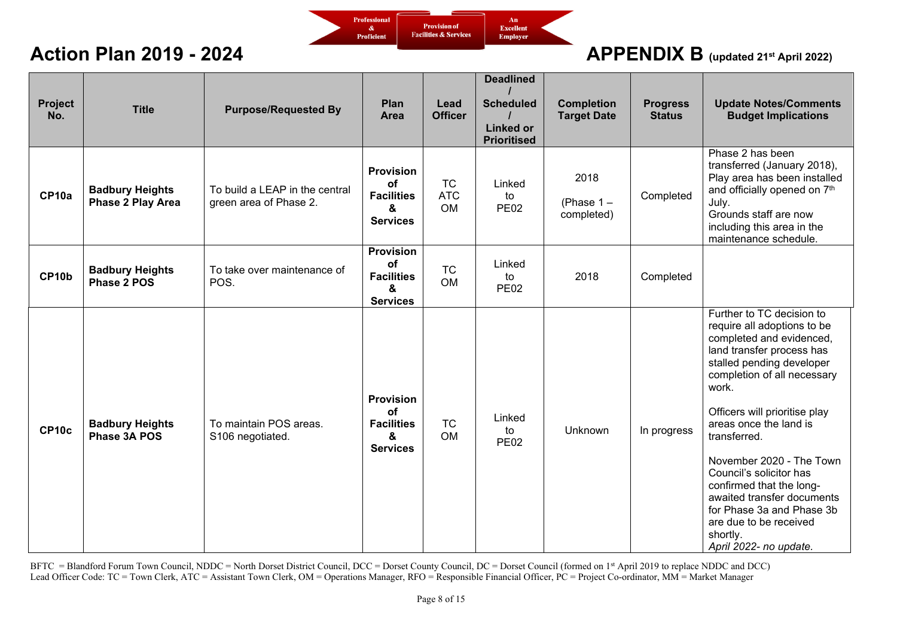

| Project<br>No. | <b>Title</b>                                | <b>Purpose/Requested By</b>                              | Plan<br>Area                                                               | Lead<br><b>Officer</b>               | <b>Deadlined</b><br><b>Scheduled</b><br><b>Linked or</b><br><b>Prioritised</b> | <b>Completion</b><br><b>Target Date</b> | <b>Progress</b><br><b>Status</b> | <b>Update Notes/Comments</b><br><b>Budget Implications</b>                                                                                                                                                                                                                                                                                                                                                                                                                      |
|----------------|---------------------------------------------|----------------------------------------------------------|----------------------------------------------------------------------------|--------------------------------------|--------------------------------------------------------------------------------|-----------------------------------------|----------------------------------|---------------------------------------------------------------------------------------------------------------------------------------------------------------------------------------------------------------------------------------------------------------------------------------------------------------------------------------------------------------------------------------------------------------------------------------------------------------------------------|
| CP10a          | <b>Badbury Heights</b><br>Phase 2 Play Area | To build a LEAP in the central<br>green area of Phase 2. | <b>Provision</b><br>of<br><b>Facilities</b><br>&<br><b>Services</b>        | <b>TC</b><br><b>ATC</b><br><b>OM</b> | Linked<br>to<br><b>PE02</b>                                                    | 2018<br>(Phase $1 -$<br>completed)      | Completed                        | Phase 2 has been<br>transferred (January 2018),<br>Play area has been installed<br>and officially opened on 7th<br>July.<br>Grounds staff are now<br>including this area in the<br>maintenance schedule.                                                                                                                                                                                                                                                                        |
| CP10b          | <b>Badbury Heights</b><br>Phase 2 POS       | To take over maintenance of<br>POS.                      | <b>Provision</b><br>of<br><b>Facilities</b><br>&<br><b>Services</b>        | <b>TC</b><br><b>OM</b>               | Linked<br>to<br><b>PE02</b>                                                    | 2018                                    | Completed                        |                                                                                                                                                                                                                                                                                                                                                                                                                                                                                 |
| CP10c          | <b>Badbury Heights</b><br>Phase 3A POS      | To maintain POS areas.<br>S106 negotiated.               | <b>Provision</b><br><b>of</b><br><b>Facilities</b><br>&<br><b>Services</b> | <b>TC</b><br><b>OM</b>               | Linked<br>to<br><b>PE02</b>                                                    | Unknown                                 | In progress                      | Further to TC decision to<br>require all adoptions to be<br>completed and evidenced,<br>land transfer process has<br>stalled pending developer<br>completion of all necessary<br>work.<br>Officers will prioritise play<br>areas once the land is<br>transferred.<br>November 2020 - The Town<br>Council's solicitor has<br>confirmed that the long-<br>awaited transfer documents<br>for Phase 3a and Phase 3b<br>are due to be received<br>shortly.<br>April 2022- no update. |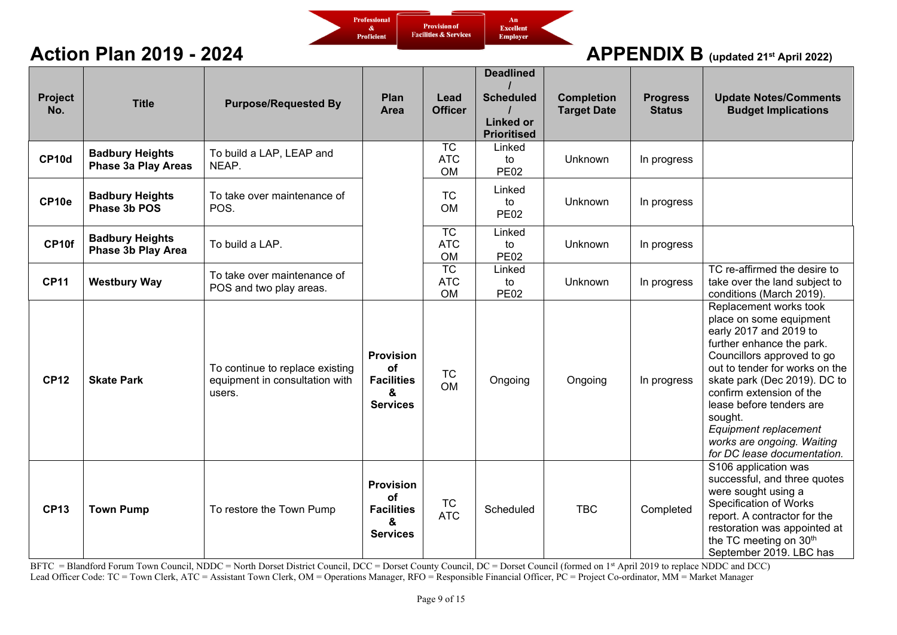

| Project<br>No. | <b>Title</b>                                  | <b>Purpose/Requested By</b>                                                 | Plan<br>Area                                                        | Lead<br><b>Officer</b>                     | <b>Deadlined</b><br><b>Scheduled</b><br><b>Linked or</b><br><b>Prioritised</b> | <b>Completion</b><br><b>Target Date</b> | <b>Progress</b><br><b>Status</b> | <b>Update Notes/Comments</b><br><b>Budget Implications</b>                                                                                                                                                                                                                                                                                                        |
|----------------|-----------------------------------------------|-----------------------------------------------------------------------------|---------------------------------------------------------------------|--------------------------------------------|--------------------------------------------------------------------------------|-----------------------------------------|----------------------------------|-------------------------------------------------------------------------------------------------------------------------------------------------------------------------------------------------------------------------------------------------------------------------------------------------------------------------------------------------------------------|
| CP10d          | <b>Badbury Heights</b><br>Phase 3a Play Areas | To build a LAP, LEAP and<br>NEAP.                                           |                                                                     | <b>TC</b><br><b>ATC</b><br><b>OM</b>       | Linked<br>to<br><b>PE02</b>                                                    | <b>Unknown</b>                          | In progress                      |                                                                                                                                                                                                                                                                                                                                                                   |
| CP10e          | <b>Badbury Heights</b><br>Phase 3b POS        | To take over maintenance of<br>POS.                                         |                                                                     | <b>TC</b><br><b>OM</b>                     | Linked<br>to<br><b>PE02</b>                                                    | <b>Unknown</b>                          | In progress                      |                                                                                                                                                                                                                                                                                                                                                                   |
| CP10f          | <b>Badbury Heights</b><br>Phase 3b Play Area  | To build a LAP.                                                             |                                                                     | $\overline{TC}$<br><b>ATC</b><br><b>OM</b> | Linked<br>to<br><b>PE02</b>                                                    | Unknown                                 | In progress                      |                                                                                                                                                                                                                                                                                                                                                                   |
| <b>CP11</b>    | <b>Westbury Way</b>                           | To take over maintenance of<br>POS and two play areas.                      |                                                                     | $\overline{TC}$<br><b>ATC</b><br><b>OM</b> | Linked<br>to<br><b>PE02</b>                                                    | Unknown                                 | In progress                      | TC re-affirmed the desire to<br>take over the land subject to<br>conditions (March 2019).                                                                                                                                                                                                                                                                         |
| <b>CP12</b>    | <b>Skate Park</b>                             | To continue to replace existing<br>equipment in consultation with<br>users. | <b>Provision</b><br>of<br><b>Facilities</b><br>&<br><b>Services</b> | <b>TC</b><br><b>OM</b>                     | Ongoing                                                                        | Ongoing                                 | In progress                      | Replacement works took<br>place on some equipment<br>early 2017 and 2019 to<br>further enhance the park.<br>Councillors approved to go<br>out to tender for works on the<br>skate park (Dec 2019). DC to<br>confirm extension of the<br>lease before tenders are<br>sought.<br>Equipment replacement<br>works are ongoing. Waiting<br>for DC lease documentation. |
| <b>CP13</b>    | <b>Town Pump</b>                              | To restore the Town Pump                                                    | <b>Provision</b><br>of<br><b>Facilities</b><br>&<br><b>Services</b> | <b>TC</b><br><b>ATC</b>                    | Scheduled                                                                      | <b>TBC</b>                              | Completed                        | S106 application was<br>successful, and three quotes<br>were sought using a<br>Specification of Works<br>report. A contractor for the<br>restoration was appointed at<br>the TC meeting on 30th<br>September 2019. LBC has                                                                                                                                        |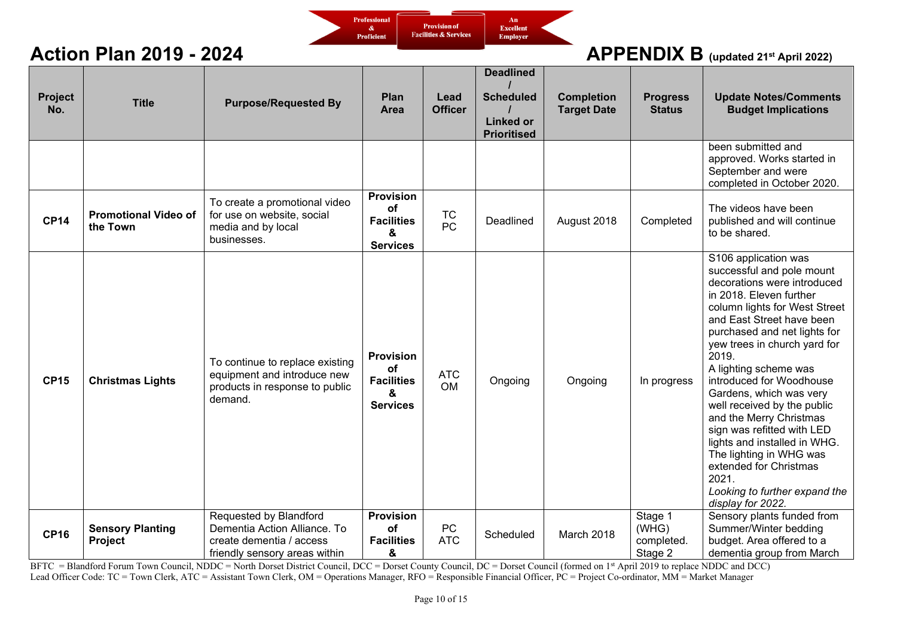

| <b>Project</b><br>No. | <b>Title</b>                            | <b>Purpose/Requested By</b>                                                                                         | Plan<br>Area                                                        | Lead<br><b>Officer</b>  | <b>Deadlined</b><br><b>Scheduled</b><br><b>Linked or</b><br><b>Prioritised</b> | <b>Completion</b><br><b>Target Date</b> | <b>Progress</b><br><b>Status</b>          | <b>Update Notes/Comments</b><br><b>Budget Implications</b>                                                                                                                                                                                                                                                                                                                                                                                                                                                                                                                     |
|-----------------------|-----------------------------------------|---------------------------------------------------------------------------------------------------------------------|---------------------------------------------------------------------|-------------------------|--------------------------------------------------------------------------------|-----------------------------------------|-------------------------------------------|--------------------------------------------------------------------------------------------------------------------------------------------------------------------------------------------------------------------------------------------------------------------------------------------------------------------------------------------------------------------------------------------------------------------------------------------------------------------------------------------------------------------------------------------------------------------------------|
|                       |                                         |                                                                                                                     |                                                                     |                         |                                                                                |                                         |                                           | been submitted and<br>approved. Works started in<br>September and were<br>completed in October 2020.                                                                                                                                                                                                                                                                                                                                                                                                                                                                           |
| <b>CP14</b>           | <b>Promotional Video of</b><br>the Town | To create a promotional video<br>for use on website, social<br>media and by local<br>businesses.                    | <b>Provision</b><br>οf<br><b>Facilities</b><br>&<br><b>Services</b> | <b>TC</b><br><b>PC</b>  | Deadlined                                                                      | August 2018                             | Completed                                 | The videos have been<br>published and will continue<br>to be shared.                                                                                                                                                                                                                                                                                                                                                                                                                                                                                                           |
| <b>CP15</b>           | <b>Christmas Lights</b>                 | To continue to replace existing<br>equipment and introduce new<br>products in response to public<br>demand.         | <b>Provision</b><br>of<br><b>Facilities</b><br>8<br><b>Services</b> | <b>ATC</b><br><b>OM</b> | Ongoing                                                                        | Ongoing                                 | In progress                               | S106 application was<br>successful and pole mount<br>decorations were introduced<br>in 2018. Eleven further<br>column lights for West Street<br>and East Street have been<br>purchased and net lights for<br>yew trees in church yard for<br>2019.<br>A lighting scheme was<br>introduced for Woodhouse<br>Gardens, which was very<br>well received by the public<br>and the Merry Christmas<br>sign was refitted with LED<br>lights and installed in WHG.<br>The lighting in WHG was<br>extended for Christmas<br>2021.<br>Looking to further expand the<br>display for 2022. |
| <b>CP16</b>           | <b>Sensory Planting</b><br>Project      | Requested by Blandford<br>Dementia Action Alliance. To<br>create dementia / access<br>friendly sensory areas within | <b>Provision</b><br>of<br><b>Facilities</b><br>&                    | PC<br><b>ATC</b>        | Scheduled                                                                      | March 2018                              | Stage 1<br>(WHG)<br>completed.<br>Stage 2 | Sensory plants funded from<br>Summer/Winter bedding<br>budget. Area offered to a<br>dementia group from March                                                                                                                                                                                                                                                                                                                                                                                                                                                                  |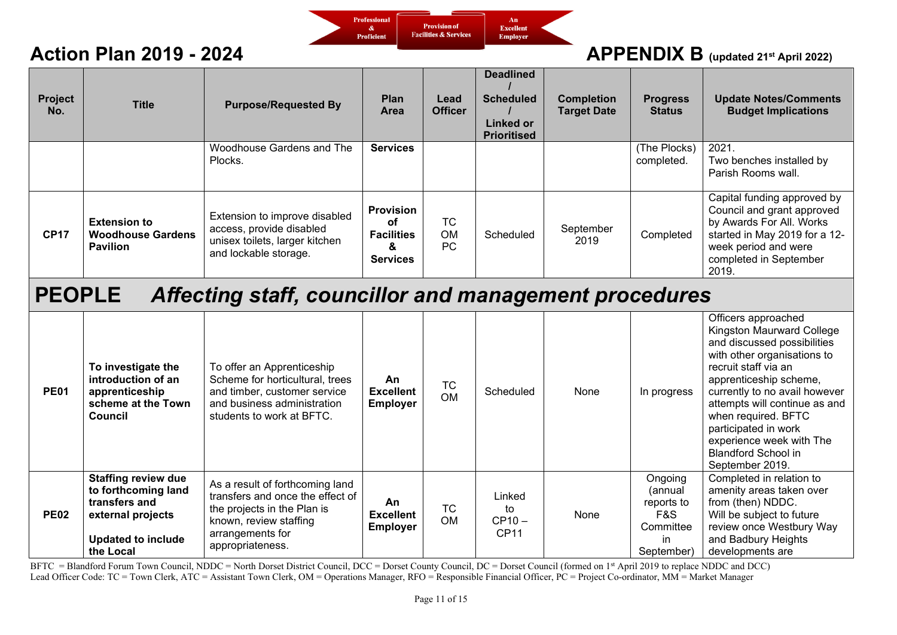

### **Action Plan 2019 - 2024** *APPENDIX B* (updated 21st April 2022)

| Project<br>No. | <b>Title</b>                                                       | <b>Purpose/Requested By</b>                                                                                          | Plan<br>Area                                                        | Lead<br><b>Officer</b> | <b>Deadlined</b><br><b>Scheduled</b><br>Linked or<br><b>Prioritised</b> | <b>Completion</b><br><b>Target Date</b> | <b>Progress</b><br><b>Status</b> | <b>Update Notes/Comments</b><br><b>Budget Implications</b>                                                                                                                        |
|----------------|--------------------------------------------------------------------|----------------------------------------------------------------------------------------------------------------------|---------------------------------------------------------------------|------------------------|-------------------------------------------------------------------------|-----------------------------------------|----------------------------------|-----------------------------------------------------------------------------------------------------------------------------------------------------------------------------------|
|                |                                                                    | Woodhouse Gardens and The<br>Plocks.                                                                                 | <b>Services</b>                                                     |                        |                                                                         |                                         | (The Plocks)<br>completed.       | 2021.<br>Two benches installed by<br>Parish Rooms wall.                                                                                                                           |
| <b>CP17</b>    | <b>Extension to</b><br><b>Woodhouse Gardens</b><br><b>Pavilion</b> | Extension to improve disabled<br>access, provide disabled<br>unisex toilets, larger kitchen<br>and lockable storage. | <b>Provision</b><br>οf<br><b>Facilities</b><br>&<br><b>Services</b> | ТC<br><b>OM</b><br>РC  | Scheduled                                                               | September<br>2019                       | Completed                        | Capital funding approved by<br>Council and grant approved<br>by Awards For All. Works<br>started in May 2019 for a 12-<br>week period and were<br>completed in September<br>2019. |

# **PEOPLE** *Affecting staff, councillor and management procedures*

| <b>PE01</b> | To investigate the<br>introduction of an<br>apprenticeship<br>scheme at the Town<br>Council                                       | To offer an Apprenticeship<br>Scheme for horticultural, trees<br>and timber, customer service<br>and business administration<br>students to work at BFTC.            | An<br><b>Excellent</b><br><b>Employer</b> | <b>TC</b><br><b>OM</b> | Scheduled                        | None | In progress                                                               | Officers approached<br>Kingston Maurward College<br>and discussed possibilities<br>with other organisations to<br>recruit staff via an<br>apprenticeship scheme,<br>currently to no avail however<br>attempts will continue as and<br>when required. BFTC<br>participated in work<br>experience week with The<br><b>Blandford School in</b><br>September 2019. |
|-------------|-----------------------------------------------------------------------------------------------------------------------------------|----------------------------------------------------------------------------------------------------------------------------------------------------------------------|-------------------------------------------|------------------------|----------------------------------|------|---------------------------------------------------------------------------|----------------------------------------------------------------------------------------------------------------------------------------------------------------------------------------------------------------------------------------------------------------------------------------------------------------------------------------------------------------|
| <b>PE02</b> | <b>Staffing review due</b><br>to forthcoming land<br>transfers and<br>external projects<br><b>Updated to include</b><br>the Local | As a result of forthcoming land<br>transfers and once the effect of<br>the projects in the Plan is<br>known, review staffing<br>arrangements for<br>appropriateness. | An<br><b>Excellent</b><br><b>Employer</b> | <b>TC</b><br><b>OM</b> | Linked<br>to<br>$CP10 -$<br>CP11 | None | Ongoing<br>(annual<br>reports to<br>F&S<br>Committee<br>in.<br>September) | Completed in relation to<br>amenity areas taken over<br>from (then) NDDC.<br>Will be subject to future<br>review once Westbury Way<br>and Badbury Heights<br>developments are                                                                                                                                                                                  |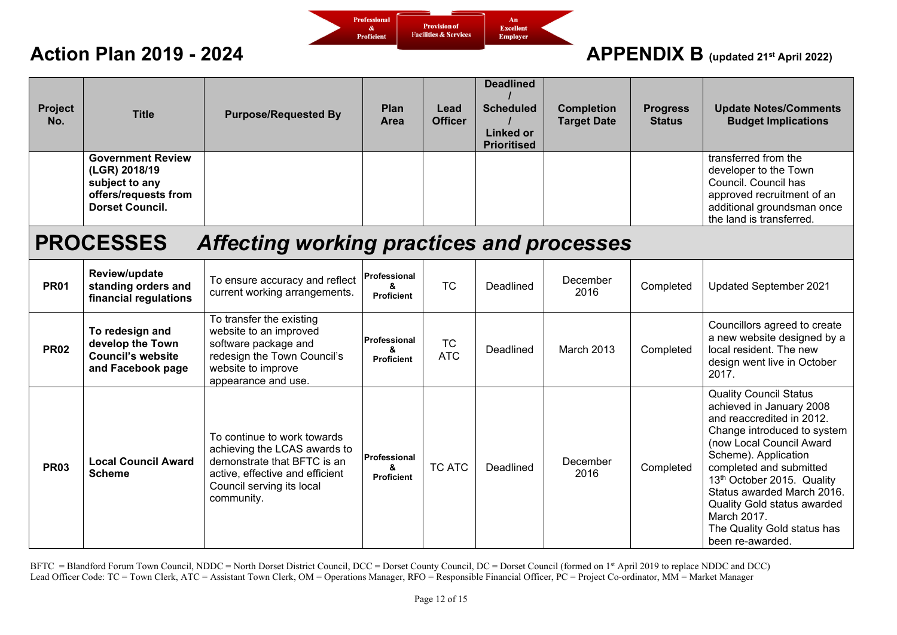

| Project<br>No. | <b>Title</b>                                                                                                  | <b>Purpose/Requested By</b>                                                                                                                                              | Plan<br>Area                           | Lead<br><b>Officer</b>  | <b>Deadlined</b><br><b>Scheduled</b><br><b>Linked or</b><br><b>Prioritised</b> | <b>Completion</b><br><b>Target Date</b> | <b>Progress</b><br><b>Status</b> | <b>Update Notes/Comments</b><br><b>Budget Implications</b>                                                                                                                                                                                                                                                                                                               |
|----------------|---------------------------------------------------------------------------------------------------------------|--------------------------------------------------------------------------------------------------------------------------------------------------------------------------|----------------------------------------|-------------------------|--------------------------------------------------------------------------------|-----------------------------------------|----------------------------------|--------------------------------------------------------------------------------------------------------------------------------------------------------------------------------------------------------------------------------------------------------------------------------------------------------------------------------------------------------------------------|
|                | <b>Government Review</b><br>(LGR) 2018/19<br>subject to any<br>offers/requests from<br><b>Dorset Council.</b> |                                                                                                                                                                          |                                        |                         |                                                                                |                                         |                                  | transferred from the<br>developer to the Town<br>Council. Council has<br>approved recruitment of an<br>additional groundsman once<br>the land is transferred.                                                                                                                                                                                                            |
|                | <b>PROCESSES</b>                                                                                              | Affecting working practices and processes                                                                                                                                |                                        |                         |                                                                                |                                         |                                  |                                                                                                                                                                                                                                                                                                                                                                          |
| <b>PR01</b>    | Review/update<br>standing orders and<br>financial regulations                                                 | To ensure accuracy and reflect<br>current working arrangements.                                                                                                          | Professional<br>&<br><b>Proficient</b> | <b>TC</b>               | Deadlined                                                                      | December<br>2016                        | Completed                        | Updated September 2021                                                                                                                                                                                                                                                                                                                                                   |
| <b>PR02</b>    | To redesign and<br>develop the Town<br><b>Council's website</b><br>and Facebook page                          | To transfer the existing<br>website to an improved<br>software package and<br>redesign the Town Council's<br>website to improve<br>appearance and use.                   | Professional<br>&<br><b>Proficient</b> | <b>TC</b><br><b>ATC</b> | Deadlined                                                                      | March 2013                              | Completed                        | Councillors agreed to create<br>a new website designed by a<br>local resident. The new<br>design went live in October<br>2017.                                                                                                                                                                                                                                           |
| <b>PR03</b>    | <b>Local Council Award</b><br><b>Scheme</b>                                                                   | To continue to work towards<br>achieving the LCAS awards to<br>demonstrate that BFTC is an<br>active, effective and efficient<br>Council serving its local<br>community. | Professional<br>&<br><b>Proficient</b> | <b>TC ATC</b>           | Deadlined                                                                      | December<br>2016                        | Completed                        | <b>Quality Council Status</b><br>achieved in January 2008<br>and reaccredited in 2012.<br>Change introduced to system<br>(now Local Council Award<br>Scheme). Application<br>completed and submitted<br>13th October 2015. Quality<br>Status awarded March 2016.<br><b>Quality Gold status awarded</b><br>March 2017.<br>The Quality Gold status has<br>been re-awarded. |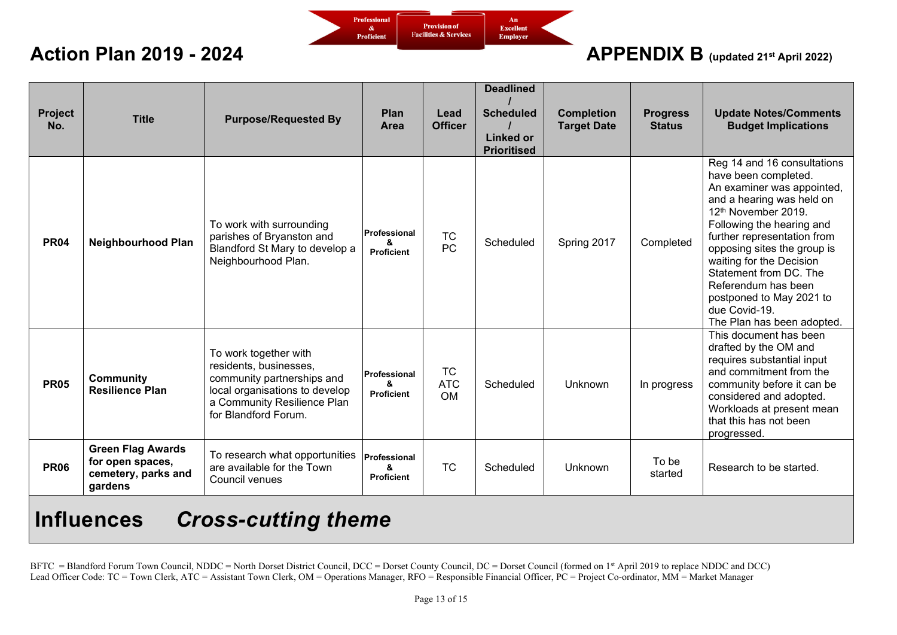

| Project<br>No. | <b>Title</b>                                                                   | <b>Purpose/Requested By</b>                                                                                                                                            | <b>Plan</b><br>Area                           | Lead<br><b>Officer</b>               | <b>Deadlined</b><br><b>Scheduled</b><br><b>Linked or</b><br><b>Prioritised</b> | <b>Completion</b><br><b>Target Date</b> | <b>Progress</b><br><b>Status</b> | <b>Update Notes/Comments</b><br><b>Budget Implications</b>                                                                                                                                                                                                                                                                                                                               |
|----------------|--------------------------------------------------------------------------------|------------------------------------------------------------------------------------------------------------------------------------------------------------------------|-----------------------------------------------|--------------------------------------|--------------------------------------------------------------------------------|-----------------------------------------|----------------------------------|------------------------------------------------------------------------------------------------------------------------------------------------------------------------------------------------------------------------------------------------------------------------------------------------------------------------------------------------------------------------------------------|
| <b>PR04</b>    | <b>Neighbourhood Plan</b>                                                      | To work with surrounding<br>parishes of Bryanston and<br>Blandford St Mary to develop a<br>Neighbourhood Plan.                                                         | Professional<br>ጼ<br><b>Proficient</b>        | <b>TC</b><br><b>PC</b>               | Scheduled                                                                      | Spring 2017                             | Completed                        | Reg 14 and 16 consultations<br>have been completed.<br>An examiner was appointed,<br>and a hearing was held on<br>12th November 2019.<br>Following the hearing and<br>further representation from<br>opposing sites the group is<br>waiting for the Decision<br>Statement from DC. The<br>Referendum has been<br>postponed to May 2021 to<br>due Covid-19.<br>The Plan has been adopted. |
| <b>PR05</b>    | <b>Community</b><br><b>Resilience Plan</b>                                     | To work together with<br>residents, businesses,<br>community partnerships and<br>local organisations to develop<br>a Community Resilience Plan<br>for Blandford Forum. | <b>Professional</b><br>&<br><b>Proficient</b> | <b>TC</b><br><b>ATC</b><br><b>OM</b> | Scheduled                                                                      | Unknown                                 | In progress                      | This document has been<br>drafted by the OM and<br>requires substantial input<br>and commitment from the<br>community before it can be<br>considered and adopted.<br>Workloads at present mean<br>that this has not been<br>progressed.                                                                                                                                                  |
| <b>PR06</b>    | <b>Green Flag Awards</b><br>for open spaces,<br>cemetery, parks and<br>gardens | To research what opportunities<br>are available for the Town<br>Council venues                                                                                         | <b>Professional</b><br>ጼ<br><b>Proficient</b> | <b>TC</b>                            | Scheduled                                                                      | Unknown                                 | To be<br>started                 | Research to be started.                                                                                                                                                                                                                                                                                                                                                                  |
|                |                                                                                |                                                                                                                                                                        |                                               |                                      |                                                                                |                                         |                                  |                                                                                                                                                                                                                                                                                                                                                                                          |

# **Influences** *Cross-cutting theme*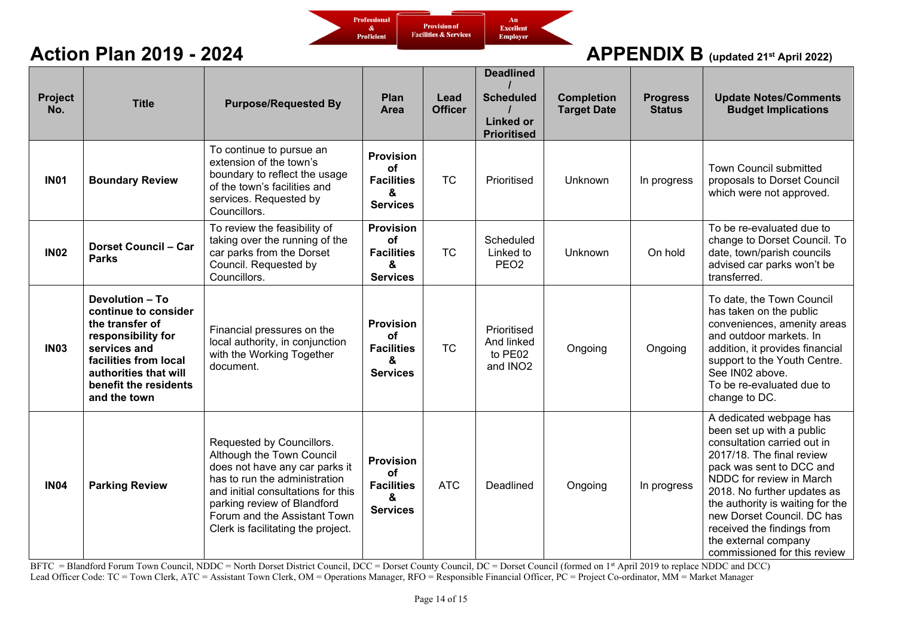

| Project<br>No. | <b>Title</b>                                                                                                                                                                                       | <b>Purpose/Requested By</b>                                                                                                                                                                                                                                          | Plan<br>Area                                                               | Lead<br><b>Officer</b> | <b>Deadlined</b><br><b>Scheduled</b><br><b>Linked or</b><br><b>Prioritised</b> | <b>Completion</b><br><b>Target Date</b> | <b>Progress</b><br><b>Status</b> | <b>Update Notes/Comments</b><br><b>Budget Implications</b>                                                                                                                                                                                                                                                                                                      |
|----------------|----------------------------------------------------------------------------------------------------------------------------------------------------------------------------------------------------|----------------------------------------------------------------------------------------------------------------------------------------------------------------------------------------------------------------------------------------------------------------------|----------------------------------------------------------------------------|------------------------|--------------------------------------------------------------------------------|-----------------------------------------|----------------------------------|-----------------------------------------------------------------------------------------------------------------------------------------------------------------------------------------------------------------------------------------------------------------------------------------------------------------------------------------------------------------|
| <b>IN01</b>    | <b>Boundary Review</b>                                                                                                                                                                             | To continue to pursue an<br>extension of the town's<br>boundary to reflect the usage<br>of the town's facilities and<br>services. Requested by<br>Councillors.                                                                                                       | <b>Provision</b><br><b>of</b><br><b>Facilities</b><br>&<br><b>Services</b> | <b>TC</b>              | Prioritised                                                                    | Unknown                                 | In progress                      | <b>Town Council submitted</b><br>proposals to Dorset Council<br>which were not approved.                                                                                                                                                                                                                                                                        |
| <b>IN02</b>    | <b>Dorset Council - Car</b><br><b>Parks</b>                                                                                                                                                        | To review the feasibility of<br>taking over the running of the<br>car parks from the Dorset<br>Council. Requested by<br>Councillors.                                                                                                                                 | <b>Provision</b><br><b>of</b><br><b>Facilities</b><br>&<br><b>Services</b> | <b>TC</b>              | Scheduled<br>Linked to<br>PEO <sub>2</sub>                                     | Unknown                                 | On hold                          | To be re-evaluated due to<br>change to Dorset Council. To<br>date, town/parish councils<br>advised car parks won't be<br>transferred.                                                                                                                                                                                                                           |
| <b>IN03</b>    | <b>Devolution - To</b><br>continue to consider<br>the transfer of<br>responsibility for<br>services and<br>facilities from local<br>authorities that will<br>benefit the residents<br>and the town | Financial pressures on the<br>local authority, in conjunction<br>with the Working Together<br>document.                                                                                                                                                              | <b>Provision</b><br><b>of</b><br><b>Facilities</b><br>&<br><b>Services</b> | <b>TC</b>              | Prioritised<br>And linked<br>to PE02<br>and INO <sub>2</sub>                   | Ongoing                                 | Ongoing                          | To date, the Town Council<br>has taken on the public<br>conveniences, amenity areas<br>and outdoor markets. In<br>addition, it provides financial<br>support to the Youth Centre.<br>See IN02 above.<br>To be re-evaluated due to<br>change to DC.                                                                                                              |
| <b>IN04</b>    | <b>Parking Review</b>                                                                                                                                                                              | Requested by Councillors.<br>Although the Town Council<br>does not have any car parks it<br>has to run the administration<br>and initial consultations for this<br>parking review of Blandford<br>Forum and the Assistant Town<br>Clerk is facilitating the project. | <b>Provision</b><br><b>of</b><br><b>Facilities</b><br>&<br><b>Services</b> | <b>ATC</b>             | Deadlined                                                                      | Ongoing                                 | In progress                      | A dedicated webpage has<br>been set up with a public<br>consultation carried out in<br>2017/18. The final review<br>pack was sent to DCC and<br>NDDC for review in March<br>2018. No further updates as<br>the authority is waiting for the<br>new Dorset Council. DC has<br>received the findings from<br>the external company<br>commissioned for this review |